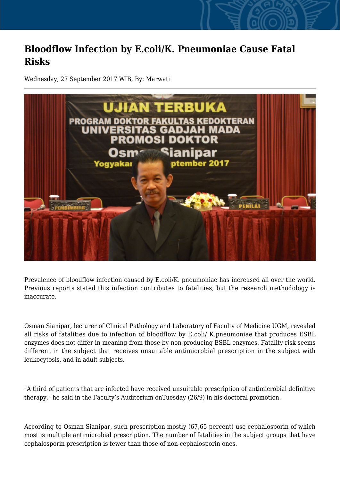## **Bloodflow Infection by E.coli/K. Pneumoniae Cause Fatal Risks**

Wednesday, 27 September 2017 WIB, By: Marwati



Prevalence of bloodflow infection caused by E.coli/K. pneumoniae has increased all over the world. Previous reports stated this infection contributes to fatalities, but the research methodology is inaccurate.

Osman Sianipar, lecturer of Clinical Pathology and Laboratory of Faculty of Medicine UGM, revealed all risks of fatalities due to infection of bloodflow by E.coli/ K.pneumoniae that produces ESBL enzymes does not differ in meaning from those by non-producing ESBL enzymes. Fatality risk seems different in the subject that receives unsuitable antimicrobial prescription in the subject with leukocytosis, and in adult subjects.

"A third of patients that are infected have received unsuitable prescription of antimicrobial definitive therapy," he said in the Faculty's Auditorium onTuesday (26/9) in his doctoral promotion.

According to Osman Sianipar, such prescription mostly (67,65 percent) use cephalosporin of which most is multiple antimicrobial prescription. The number of fatalities in the subject groups that have cephalosporin prescription is fewer than those of non-cephalosporin ones.